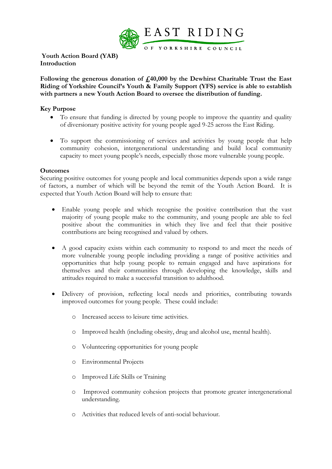

 **Youth Action Board (YAB) Introduction**

**Following the generous donation of £40,000 by the Dewhirst Charitable Trust the East Riding of Yorkshire Council's Youth & Family Support (YFS) service is able to establish with partners a new Youth Action Board to oversee the distribution of funding.**

# **Key Purpose**

- To ensure that funding is directed by young people to improve the quantity and quality of diversionary positive activity for young people aged 9-25 across the East Riding.
- To support the commissioning of services and activities by young people that help community cohesion, intergenerational understanding and build local community capacity to meet young people's needs, especially those more vulnerable young people.

## **Outcomes**

Securing positive outcomes for young people and local communities depends upon a wide range of factors, a number of which will be beyond the remit of the Youth Action Board. It is expected that Youth Action Board will help to ensure that:

- Enable young people and which recognise the positive contribution that the vast majority of young people make to the community, and young people are able to feel positive about the communities in which they live and feel that their positive contributions are being recognised and valued by others.
- A good capacity exists within each community to respond to and meet the needs of more vulnerable young people including providing a range of positive activities and opportunities that help young people to remain engaged and have aspirations for themselves and their communities through developing the knowledge, skills and attitudes required to make a successful transition to adulthood.
- Delivery of provision, reflecting local needs and priorities, contributing towards improved outcomes for young people. These could include:
	- o Increased access to leisure time activities.
	- o Improved health (including obesity, drug and alcohol use, mental health).
	- o Volunteering opportunities for young people
	- o Environmental Projects
	- o Improved Life Skills or Training
	- o Improved community cohesion projects that promote greater intergenerational understanding.
	- o Activities that reduced levels of anti-social behaviour.